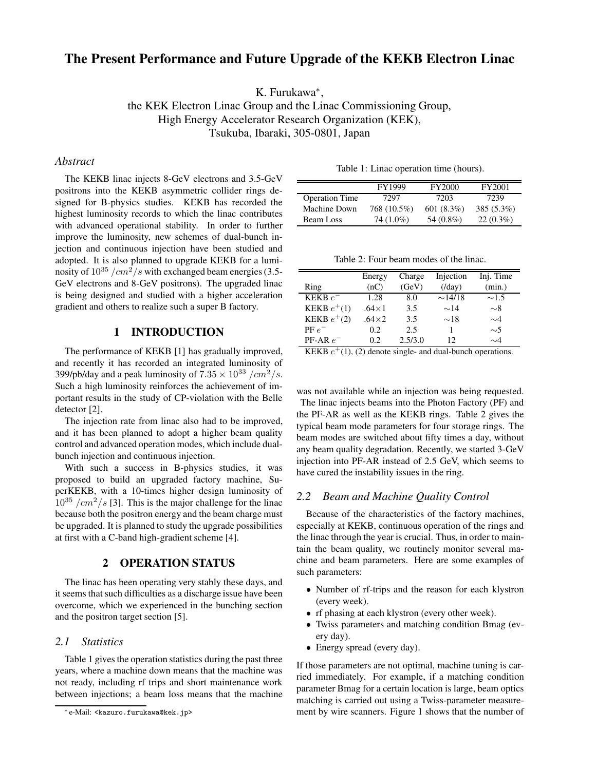# **The Present Performance and Future Upgrade of the KEKB Electron Linac**

K. Furukawa<sup>\*</sup>,

the KEK Electron Linac Group and the Linac Commissioning Group, High Energy Accelerator Research Organization (KEK), Tsukuba, Ibaraki, 305-0801, Japan

# *Abstract*

The KEKB linac injects 8-GeV electrons and 3.5-GeV positrons into the KEKB asymmetric collider rings designed for B-physics studies. KEKB has recorded the highest luminosity records to which the linac contributes with advanced operational stability. In order to further improve the luminosity, new schemes of dual-bunch injection and continuous injection have been studied and adopted. It is also planned to upgrade KEKB for a luminosity of  $10^{35}$  /cm<sup>2</sup>/s with exchanged beam energies (3.5-GeV electrons and 8-GeV positrons). The upgraded linac is being designed and studied with a higher acceleration gradient and others to realize such a super B factory.

# **1 INTRODUCTION**

The performance of KEKB [1] has gradually improved, and recently it has recorded an integrated luminosity of 399/pb/day and a peak luminosity of  $7.35 \times 10^{33}$  /cm<sup>2</sup>/s. Such a high luminosity reinforces the achievement of important results in the study of CP-violation with the Belle detector [2].

The injection rate from linac also had to be improved, and it has been planned to adopt a higher beam quality control and advanced operation modes, which include dualbunch injection and continuous injection.

With such a success in B-physics studies, it was proposed to build an upgraded factory machine, SuperKEKB, with a 10-times higher design luminosity of  $10^{35}$  /cm<sup>2</sup>/s [3]. This is the major challenge for the linac because both the positron energy and the beam charge must be upgraded. It is planned to study the upgrade possibilities at first with a C-band high-gradient scheme [4].

### **2 OPERATION STATUS**

The linac has been operating very stably these days, and it seems that such difficulties as a discharge issue have been overcome, which we experienced in the bunching section and the positron target section [5].

# *2.1 Statistics*

Table 1 gives the operation statistics during the past three years, where a machine down means that the machine was not ready, including rf trips and short maintenance work between injections; a beam loss means that the machine Table 1: Linac operation time (hours).

|                       | FY1999      | <b>FY2000</b> | FY2001       |
|-----------------------|-------------|---------------|--------------|
| <b>Operation Time</b> | 7297        | 7203          | 7239         |
| Machine Down          | 768 (10.5%) | 601 $(8.3\%)$ | $385(5.3\%)$ |
| <b>Beam Loss</b>      | 74 (1.0%)   | 54 (0.8%)     | $22(0.3\%)$  |

Table 2: Four beam modes of the linac.

|               | Energy       | Charge  | Injection    | Inj. Time  |
|---------------|--------------|---------|--------------|------------|
| Ring          | (nC)         | (GeV)   | (day)        | (min.)     |
| KEKB $e^-$    | 1.28         | 8.0     | $\sim$ 14/18 | $\sim$ 1.5 |
| KEKB $e^+(1)$ | $.64\times1$ | 3.5     | $\sim$ 14    | $\sim$ 8   |
| KEKB $e^+(2)$ | $.64\times2$ | 3.5     | $\sim$ 18    | $\sim$ 4   |
| $PF e^-$      | 0.2          | 2.5     |              | $\sim$ 5   |
| $PF-AR$ $e^-$ | 0.2          | 2.5/3.0 | 12           | $\sim$ 4   |

KEKB  $e^+(1)$ , (2) denote single- and dual-bunch operations.

was not available while an injection was being requested. The linac injects beams into the Photon Factory (PF) and the PF-AR as well as the KEKB rings. Table 2 gives the typical beam mode parameters for four storage rings. The beam modes are switched about fifty times a day, without any beam quality degradation. Recently, we started 3-GeV injection into PF-AR instead of 2.5 GeV, which seems to have cured the instability issues in the ring.

#### *2.2 Beam and Machine Quality Control*

Because of the characteristics of the factory machines, especially at KEKB, continuous operation of the rings and the linac through the year is crucial. Thus, in order to maintain the beam quality, we routinely monitor several machine and beam parameters. Here are some examples of such parameters:

- Number of rf-trips and the reason for each klystron (every week).
- If phasing at each klystron (every other week).
- Twiss parameters and matching condition Bmag (every day).
- Energy spread (every day).

If those parameters are not optimal, machine tuning is carried immediately. For example, if a matching condition parameter Bmag for a certain location is large, beam optics matching is carried out using a Twiss-parameter measurement by wire scanners. Figure 1 shows that the number of

<sup>∗</sup> e-Mail: <kazuro.furukawa@kek.jp>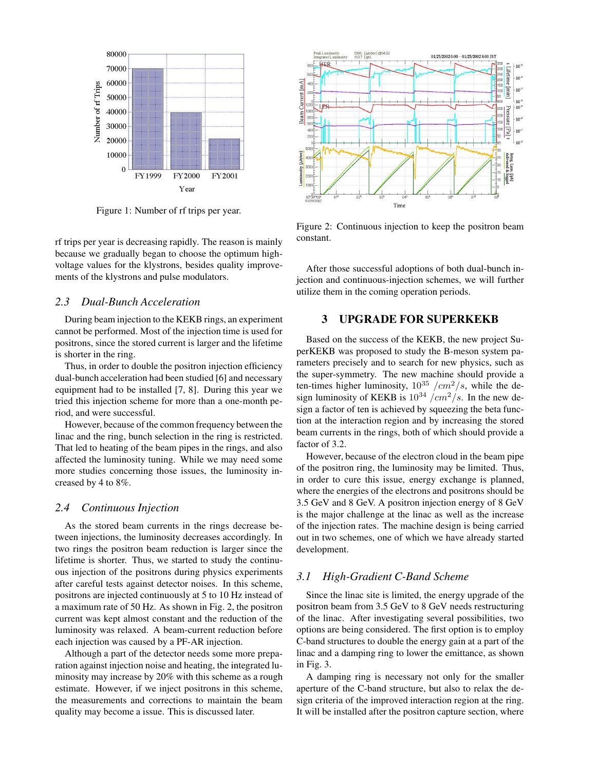

Figure 1: Number of rf trips per year.

rf trips per year is decreasing rapidly. The reason is mainly because we gradually began to choose the optimum highvoltage values for the klystrons, besides quality improvements of the klystrons and pulse modulators.

### *2.3 Dual-Bunch Acceleration*

During beam injection to the KEKB rings, an experiment cannot be performed. Most of the injection time is used for positrons, since the stored current is larger and the lifetime is shorter in the ring.

Thus, in order to double the positron injection efficiency dual-bunch acceleration had been studied [6] and necessary equipment had to be installed [7, 8]. During this year we tried this injection scheme for more than a one-month period, and were successful.

However, because of the common frequency between the linac and the ring, bunch selection in the ring is restricted. That led to heating of the beam pipes in the rings, and also affected the luminosity tuning. While we may need some more studies concerning those issues, the luminosity increased by 4 to 8%.

#### *2.4 Continuous Injection*

As the stored beam currents in the rings decrease between injections, the luminosity decreases accordingly. In two rings the positron beam reduction is larger since the lifetime is shorter. Thus, we started to study the continuous injection of the positrons during physics experiments after careful tests against detector noises. In this scheme, positrons are injected continuously at 5 to 10 Hz instead of a maximum rate of 50 Hz. As shown in Fig. 2, the positron current was kept almost constant and the reduction of the luminosity was relaxed. A beam-current reduction before each injection was caused by a PF-AR injection.

Although a part of the detector needs some more preparation against injection noise and heating, the integrated luminosity may increase by 20% with this scheme as a rough estimate. However, if we inject positrons in this scheme, the measurements and corrections to maintain the beam quality may become a issue. This is discussed later.



Figure 2: Continuous injection to keep the positron beam constant.

After those successful adoptions of both dual-bunch injection and continuous-injection schemes, we will further utilize them in the coming operation periods.

#### **3 UPGRADE FOR SUPERKEKB**

Based on the success of the KEKB, the new project SuperKEKB was proposed to study the B-meson system parameters precisely and to search for new physics, such as the super-symmetry. The new machine should provide a ten-times higher luminosity,  $10^{35}$  / $cm^2/s$ , while the design luminosity of KEKB is  $10^{34}$  /cm<sup>2</sup>/s. In the new design a factor of ten is achieved by squeezing the beta function at the interaction region and by increasing the stored beam currents in the rings, both of which should provide a factor of 3.2.

However, because of the electron cloud in the beam pipe of the positron ring, the luminosity may be limited. Thus, in order to cure this issue, energy exchange is planned, where the energies of the electrons and positrons should be 3.5 GeV and 8 GeV. A positron injection energy of 8 GeV is the major challenge at the linac as well as the increase of the injection rates. The machine design is being carried out in two schemes, one of which we have already started development.

### *3.1 High-Gradient C-Band Scheme*

Since the linac site is limited, the energy upgrade of the positron beam from 3.5 GeV to 8 GeV needs restructuring of the linac. After investigating several possibilities, two options are being considered. The first option is to employ C-band structures to double the energy gain at a part of the linac and a damping ring to lower the emittance, as shown in Fig. 3.

A damping ring is necessary not only for the smaller aperture of the C-band structure, but also to relax the design criteria of the improved interaction region at the ring. It will be installed after the positron capture section, where